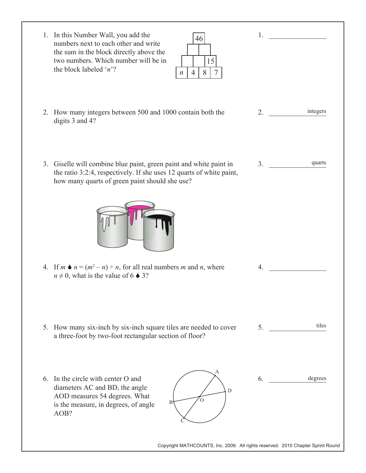1.  $\blacksquare$ 2. \_\_\_\_\_\_\_\_\_\_\_\_\_\_\_\_  $3.$ 4. \_\_\_\_\_\_\_\_\_\_\_\_\_\_\_\_  $5.$  $6.$ 1. In this Number Wall, you add the numbers next to each other and write the sum in the block directly above the two numbers. Which number will be in the block labeled '*n*'? 2. How many integers between 500 and 1000 contain both the digits 3 and 4? 3. Giselle will combine blue paint, green paint and white paint in the ratio 3:2:4, respectively. If she uses 12 quarts of white paint, how many quarts of green paint should she use? 4. If  $m \blacktriangleleft n = (m^2 - n) \div n$ , for all real numbers *m* and *n*, where  $n \neq 0$ , what is the value of 6  $\triangle$  3? 5. How many six-inch by six-inch square tiles are needed to cover a three-foot by two-foot rectangular section of floor? 6. In the circle with center O and diameters AC and BD, the angle AOD measures 54 degrees. What is the measure, in degrees, of angle AOB? degrees quarts A B  $\mathcal{C}$ D  $\mathbf{O}$ tiles integers *n* | 4 | 8 | 7 15 46

Copyright MATHCOUNTS, Inc. 2009. All rights reserved. 2010 Chapter Sprint Round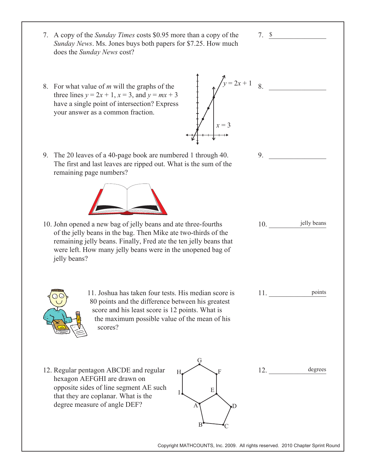7. A copy of the *Sunday Times* costs \$0.95 more than a copy of the *Sunday News*. Ms. Jones buys both papers for \$7.25. How much does the *Sunday News* cost? 8. For what value of *m* will the graphs of the three lines  $y = 2x + 1$ ,  $x = 3$ , and  $y = mx + 3$ have a single point of intersection? Express your answer as a common fraction. 9. The 20 leaves of a 40-page book are numbered 1 through 40. The first and last leaves are ripped out. What is the sum of the remaining page numbers? 10. John opened a new bag of jelly beans and ate three-fourths of the jelly beans in the bag. Then Mike ate two-thirds of the remaining jelly beans. Finally, Fred ate the ten jelly beans that were left. How many jelly beans were in the unopened bag of jelly beans? 11. Joshua has taken four tests. His median score is 80 points and the difference between his greatest score and his least score is 12 points. What is the maximum possible value of the mean of his scores? 12. Regular pentagon ABCDE and regular hexagon AEFGHI are drawn on opposite sides of line segment AE such that they are coplanar. What is the degree measure of angle DEF?  $7. \quad \underline{\$}$ 8. \_\_\_\_\_\_\_\_\_\_\_\_\_\_\_\_  $9.$ 10. \_\_\_\_\_\_\_\_\_\_\_\_\_\_\_\_ jelly beans 11. \_\_\_\_\_\_\_\_\_\_\_\_\_\_\_\_ 12. \_\_\_\_\_\_\_\_\_\_\_\_\_\_\_\_ degrees A  $B \rightarrow C$ D E F G H I  $y = 2x + 1$  $x = 3$ points

Copyright MATHCOUNTS, Inc. 2009. All rights reserved. 2010 Chapter Sprint Round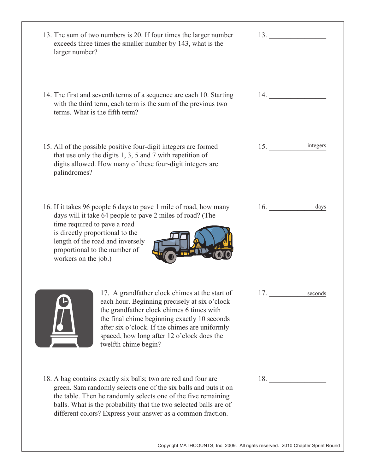| 13. The sum of two numbers is 20. If four times the larger number<br>exceeds three times the smaller number by 143, what is the<br>larger number?                                                                                                                                                                                      | 13. |          |
|----------------------------------------------------------------------------------------------------------------------------------------------------------------------------------------------------------------------------------------------------------------------------------------------------------------------------------------|-----|----------|
| 14. The first and seventh terms of a sequence are each 10. Starting<br>with the third term, each term is the sum of the previous two<br>terms. What is the fifth term?                                                                                                                                                                 | 14. |          |
| 15. All of the possible positive four-digit integers are formed<br>that use only the digits $1, 3, 5$ and $7$ with repetition of<br>digits allowed. How many of these four-digit integers are<br>palindromes?                                                                                                                          | 15. | integers |
| 16. If it takes 96 people 6 days to pave 1 mile of road, how many<br>days will it take 64 people to pave 2 miles of road? (The<br>time required to pave a road<br>is directly proportional to the<br>length of the road and inversely<br>proportional to the number of<br>workers on the job.)                                         | 16. | days     |
| 17. A grandfather clock chimes at the start of<br>each hour. Beginning precisely at six o'clock<br>the grandfather clock chimes 6 times with<br>the final chime beginning exactly 10 seconds<br>after six o'clock. If the chimes are uniformly<br>spaced, how long after 12 o'clock does the<br>twelfth chime begin?                   | 17. | seconds  |
| 18. A bag contains exactly six balls; two are red and four are<br>green. Sam randomly selects one of the six balls and puts it on<br>the table. Then he randomly selects one of the five remaining<br>balls. What is the probability that the two selected balls are of<br>different colors? Express your answer as a common fraction. | 18. |          |

Copyright MATHCOUNTS, Inc. 2009. All rights reserved. 2010 Chapter Sprint Round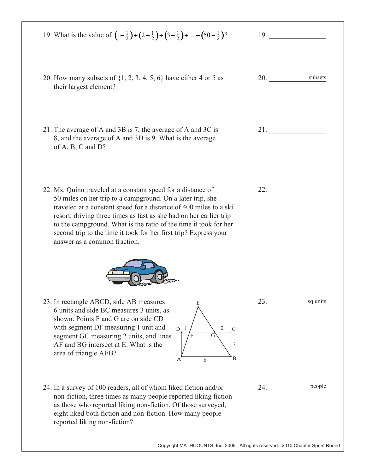| 19. What is the value of $\left(1-\frac{1}{2}\right)+\left(2-\frac{1}{2}\right)+\left(3-\frac{1}{2}\right)+\dots+\left(50-\frac{1}{2}\right)?$                                                                                                                                                                                                                                                                                                |     | 19. $\qquad \qquad$                                                                                                                                                                                                                            |
|-----------------------------------------------------------------------------------------------------------------------------------------------------------------------------------------------------------------------------------------------------------------------------------------------------------------------------------------------------------------------------------------------------------------------------------------------|-----|------------------------------------------------------------------------------------------------------------------------------------------------------------------------------------------------------------------------------------------------|
| 20. How many subsets of $\{1, 2, 3, 4, 5, 6\}$ have either 4 or 5 as<br>their largest element?                                                                                                                                                                                                                                                                                                                                                |     | <b>20.</b> The contract of the contract of the contract of the contract of the contract of the contract of the contract of the contract of the contract of the contract of the contract of the contract of the contract of the cont<br>subsets |
| 21. The average of A and 3B is 7, the average of A and 3C is<br>8, and the average of A and 3D is 9. What is the average<br>of $A$ , $B$ , $C$ and $D$ ?                                                                                                                                                                                                                                                                                      |     | 21.                                                                                                                                                                                                                                            |
| 22. Ms. Quinn traveled at a constant speed for a distance of<br>50 miles on her trip to a campground. On a later trip, she<br>traveled at a constant speed for a distance of 400 miles to a ski<br>resort, driving three times as fast as she had on her earlier trip<br>to the campground. What is the ratio of the time it took for her<br>second trip to the time it took for her first trip? Express your<br>answer as a common fraction. |     | 22.                                                                                                                                                                                                                                            |
| 23. In rectangle ABCD, side AB measures<br>E<br>6 units and side BC measures 3 units, as<br>shown. Points F and G are on side CD<br>with segment DF measuring 1 unit and<br>$\overline{2}$<br>$D-1$<br>$\mathcal{C}$<br>segment GC measuring 2 units, and lines<br>AF and BG intersect at E. What is the<br>3<br>area of triangle AEB?<br>B<br>6<br>А                                                                                         | 23. | sq units                                                                                                                                                                                                                                       |
| 24. In a survey of 100 readers, all of whom liked fiction and/or<br>non-fiction, three times as many people reported liking fiction<br>as those who reported liking non-fiction. Of those surveyed,<br>eight liked both fiction and non-fiction. How many people<br>reported liking non-fiction?                                                                                                                                              | 24. | people                                                                                                                                                                                                                                         |
| Copyright MATHCOUNTS, Inc. 2009. All rights reserved. 2010 Chapter Sprint Round                                                                                                                                                                                                                                                                                                                                                               |     |                                                                                                                                                                                                                                                |